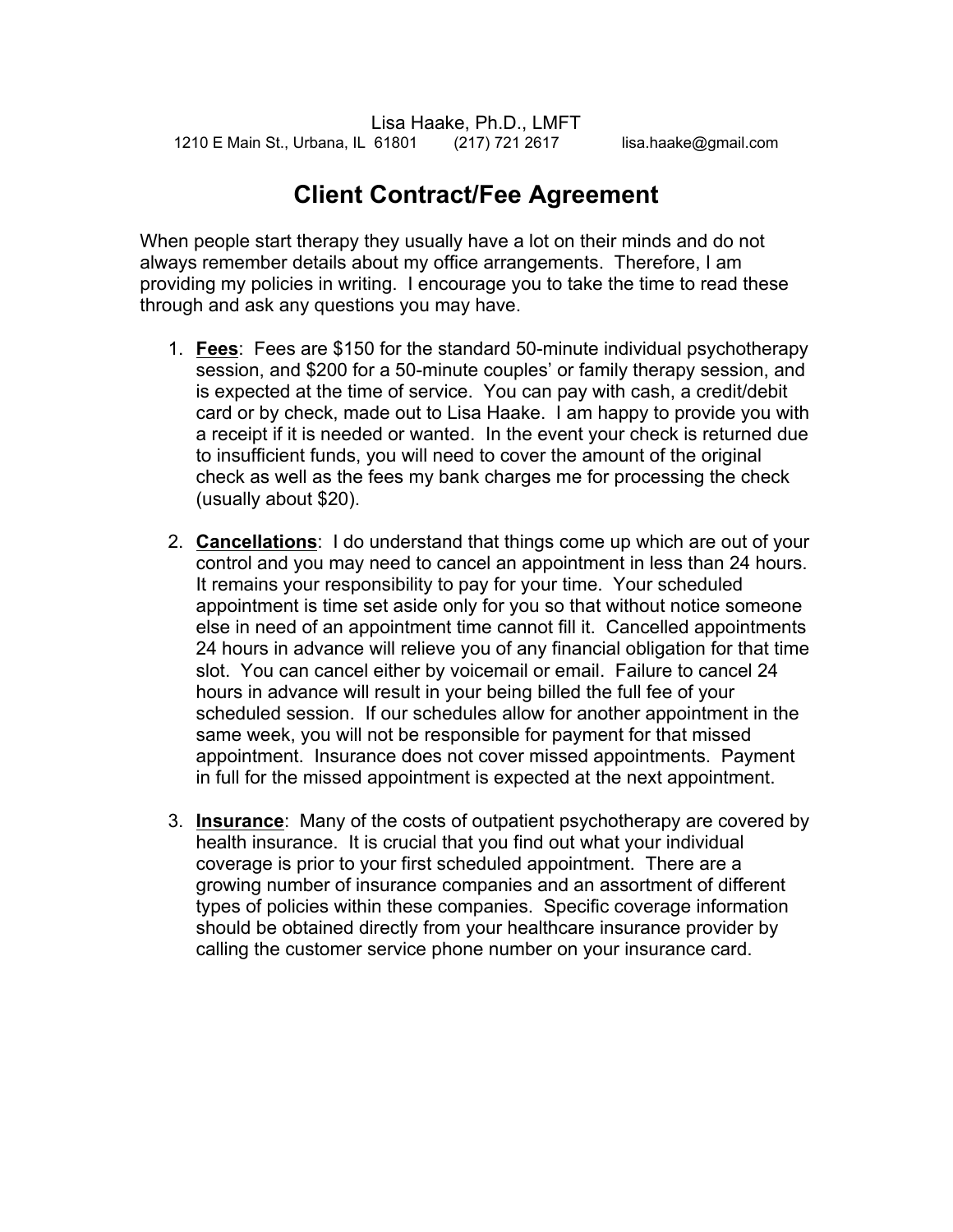## **Client Contract/Fee Agreement**

When people start therapy they usually have a lot on their minds and do not always remember details about my office arrangements. Therefore, I am providing my policies in writing. I encourage you to take the time to read these through and ask any questions you may have.

- 1. **Fees**: Fees are \$150 for the standard 50-minute individual psychotherapy session, and \$200 for a 50-minute couples' or family therapy session, and is expected at the time of service. You can pay with cash, a credit/debit card or by check, made out to Lisa Haake. I am happy to provide you with a receipt if it is needed or wanted. In the event your check is returned due to insufficient funds, you will need to cover the amount of the original check as well as the fees my bank charges me for processing the check (usually about \$20).
- 2. **Cancellations**: I do understand that things come up which are out of your control and you may need to cancel an appointment in less than 24 hours. It remains your responsibility to pay for your time. Your scheduled appointment is time set aside only for you so that without notice someone else in need of an appointment time cannot fill it. Cancelled appointments 24 hours in advance will relieve you of any financial obligation for that time slot. You can cancel either by voicemail or email. Failure to cancel 24 hours in advance will result in your being billed the full fee of your scheduled session. If our schedules allow for another appointment in the same week, you will not be responsible for payment for that missed appointment. Insurance does not cover missed appointments. Payment in full for the missed appointment is expected at the next appointment.
- 3. **Insurance**: Many of the costs of outpatient psychotherapy are covered by health insurance. It is crucial that you find out what your individual coverage is prior to your first scheduled appointment. There are a growing number of insurance companies and an assortment of different types of policies within these companies. Specific coverage information should be obtained directly from your healthcare insurance provider by calling the customer service phone number on your insurance card.